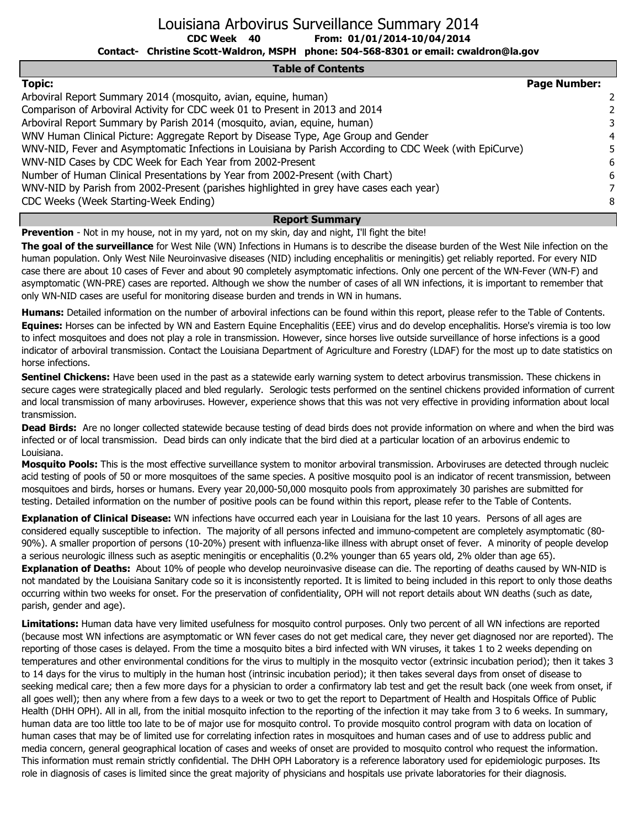Louisiana Arbovirus Surveillance Summary 2014

**CDC Week From: 01/01/2014-10/04/2014**

**Contact- Christine Scott-Waldron, MSPH phone: 504-568-8301 or email: cwaldron@la.gov**

#### **Table of Contents**

| <b>Topic:</b>                                                                                           | <b>Page Number:</b> |   |
|---------------------------------------------------------------------------------------------------------|---------------------|---|
| Arboviral Report Summary 2014 (mosquito, avian, equine, human)                                          |                     | 2 |
| Comparison of Arboviral Activity for CDC week 01 to Present in 2013 and 2014                            |                     |   |
| Arboviral Report Summary by Parish 2014 (mosquito, avian, equine, human)                                |                     |   |
| WNV Human Clinical Picture: Aggregate Report by Disease Type, Age Group and Gender                      |                     | 4 |
| WNV-NID, Fever and Asymptomatic Infections in Louisiana by Parish According to CDC Week (with EpiCurve) |                     |   |
| WNV-NID Cases by CDC Week for Each Year from 2002-Present                                               |                     | 6 |
| Number of Human Clinical Presentations by Year from 2002-Present (with Chart)                           |                     | 6 |
| WNV-NID by Parish from 2002-Present (parishes highlighted in grey have cases each year)                 |                     |   |
| CDC Weeks (Week Starting-Week Ending)                                                                   |                     | 8 |
| <b>Report Summary</b>                                                                                   |                     |   |

**Prevention** - Not in my house, not in my yard, not on my skin, day and night, I'll fight the bite!

**40**

**The goal of the surveillance** for West Nile (WN) Infections in Humans is to describe the disease burden of the West Nile infection on the human population. Only West Nile Neuroinvasive diseases (NID) including encephalitis or meningitis) get reliably reported. For every NID case there are about 10 cases of Fever and about 90 completely asymptomatic infections. Only one percent of the WN-Fever (WN-F) and asymptomatic (WN-PRE) cases are reported. Although we show the number of cases of all WN infections, it is important to remember that only WN-NID cases are useful for monitoring disease burden and trends in WN in humans.

**Humans:** Detailed information on the number of arboviral infections can be found within this report, please refer to the Table of Contents. **Equines:** Horses can be infected by WN and Eastern Equine Encephalitis (EEE) virus and do develop encephalitis. Horse's viremia is too low to infect mosquitoes and does not play a role in transmission. However, since horses live outside surveillance of horse infections is a good indicator of arboviral transmission. Contact the Louisiana Department of Agriculture and Forestry (LDAF) for the most up to date statistics on horse infections.

**Sentinel Chickens:** Have been used in the past as a statewide early warning system to detect arbovirus transmission. These chickens in secure cages were strategically placed and bled regularly. Serologic tests performed on the sentinel chickens provided information of current and local transmission of many arboviruses. However, experience shows that this was not very effective in providing information about local transmission.

**Dead Birds:** Are no longer collected statewide because testing of dead birds does not provide information on where and when the bird was infected or of local transmission. Dead birds can only indicate that the bird died at a particular location of an arbovirus endemic to Louisiana.

**Mosquito Pools:** This is the most effective surveillance system to monitor arboviral transmission. Arboviruses are detected through nucleic acid testing of pools of 50 or more mosquitoes of the same species. A positive mosquito pool is an indicator of recent transmission, between mosquitoes and birds, horses or humans. Every year 20,000-50,000 mosquito pools from approximately 30 parishes are submitted for testing. Detailed information on the number of positive pools can be found within this report, please refer to the Table of Contents.

**Explanation of Clinical Disease:** WN infections have occurred each year in Louisiana for the last 10 years. Persons of all ages are considered equally susceptible to infection. The majority of all persons infected and immuno-competent are completely asymptomatic (80- 90%). A smaller proportion of persons (10-20%) present with influenza-like illness with abrupt onset of fever. A minority of people develop a serious neurologic illness such as aseptic meningitis or encephalitis (0.2% younger than 65 years old, 2% older than age 65). **Explanation of Deaths:** About 10% of people who develop neuroinvasive disease can die. The reporting of deaths caused by WN-NID is not mandated by the Louisiana Sanitary code so it is inconsistently reported. It is limited to being included in this report to only those deaths occurring within two weeks for onset. For the preservation of confidentiality, OPH will not report details about WN deaths (such as date, parish, gender and age).

**Limitations:** Human data have very limited usefulness for mosquito control purposes. Only two percent of all WN infections are reported (because most WN infections are asymptomatic or WN fever cases do not get medical care, they never get diagnosed nor are reported). The reporting of those cases is delayed. From the time a mosquito bites a bird infected with WN viruses, it takes 1 to 2 weeks depending on temperatures and other environmental conditions for the virus to multiply in the mosquito vector (extrinsic incubation period); then it takes 3 to 14 days for the virus to multiply in the human host (intrinsic incubation period); it then takes several days from onset of disease to seeking medical care; then a few more days for a physician to order a confirmatory lab test and get the result back (one week from onset, if all goes well); then any where from a few days to a week or two to get the report to Department of Health and Hospitals Office of Public Health (DHH OPH). All in all, from the initial mosquito infection to the reporting of the infection it may take from 3 to 6 weeks. In summary, human data are too little too late to be of major use for mosquito control. To provide mosquito control program with data on location of human cases that may be of limited use for correlating infection rates in mosquitoes and human cases and of use to address public and media concern, general geographical location of cases and weeks of onset are provided to mosquito control who request the information. This information must remain strictly confidential. The DHH OPH Laboratory is a reference laboratory used for epidemiologic purposes. Its role in diagnosis of cases is limited since the great majority of physicians and hospitals use private laboratories for their diagnosis.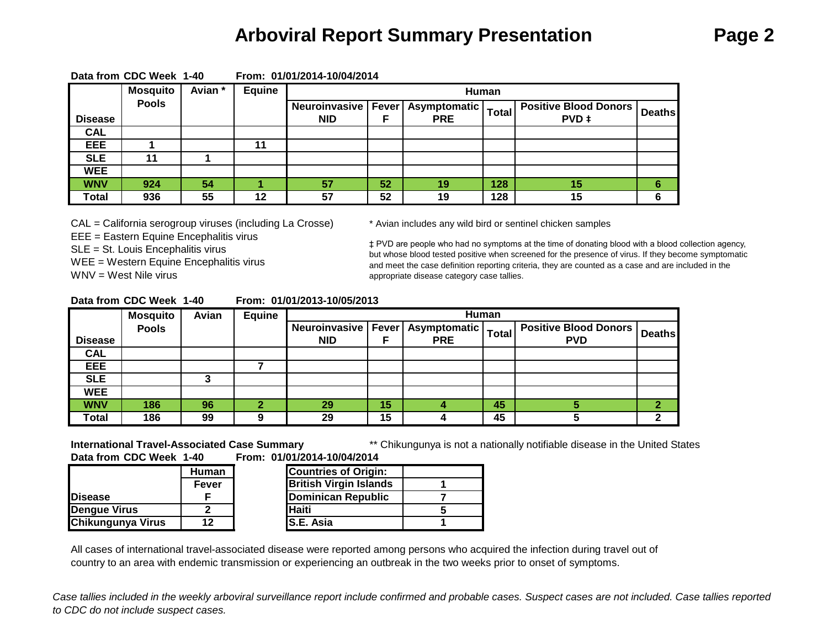### **Arboviral Report Summary Presentation Page 2**

|                | <b>Mosquito</b> | Avian * | Equine |                                                      |    | Human      |       |                                       |               |
|----------------|-----------------|---------|--------|------------------------------------------------------|----|------------|-------|---------------------------------------|---------------|
| <b>Disease</b> | <b>Pools</b>    |         |        | Neuroinvasive   Fever   Asymptomatic  <br><b>NID</b> |    | <b>PRE</b> | Total | <b>Positive Blood Donors</b><br>PVD ‡ | <b>Deaths</b> |
| <b>CAL</b>     |                 |         |        |                                                      |    |            |       |                                       |               |
| EEE            |                 |         | 11     |                                                      |    |            |       |                                       |               |
| <b>SLE</b>     | 11              |         |        |                                                      |    |            |       |                                       |               |
| <b>WEE</b>     |                 |         |        |                                                      |    |            |       |                                       |               |
| <b>WNV</b>     | 924             | 54      |        | 57                                                   | 52 | 19         | 128   | 15                                    | 6             |
| Total          | 936             | 55      | 12     | 57                                                   | 52 | 19         | 128   | 15                                    |               |

#### **Data from CDC Week 1-40 From: 01/01/2014-10/04/2014**

CAL = California serogroup viruses (including La Crosse) \* Avian includes any wild bird or sentinel chicken samples

EEE = Eastern Equine Encephalitis virus

SLE = St. Louis Encephalitis virus

WEE = Western Equine Encephalitis virus

WNV = West Nile virus

‡ PVD are people who had no symptoms at the time of donating blood with a blood collection agency, but whose blood tested positive when screened for the presence of virus. If they become symptomatic and meet the case definition reporting criteria, they are counted as a case and are included in the appropriate disease category case tallies.

| Data from CDC Week 1-40 |  | From: 01/01/2013-10/05/2013 |
|-------------------------|--|-----------------------------|
|                         |  |                             |

|                | <b>Mosquito</b> | Avian | <b>Equine</b> |                       |    |                     | Human        |                              |               |
|----------------|-----------------|-------|---------------|-----------------------|----|---------------------|--------------|------------------------------|---------------|
|                | <b>Pools</b>    |       |               | Neuroinvasive   Fever |    | <b>Asymptomatic</b> | <b>Total</b> | <b>Positive Blood Donors</b> | <b>Deaths</b> |
| <b>Disease</b> |                 |       |               | <b>NID</b>            |    | <b>PRE</b>          |              | <b>PVD</b>                   |               |
| <b>CAL</b>     |                 |       |               |                       |    |                     |              |                              |               |
| EEE            |                 |       |               |                       |    |                     |              |                              |               |
| <b>SLE</b>     |                 |       |               |                       |    |                     |              |                              |               |
| <b>WEE</b>     |                 |       |               |                       |    |                     |              |                              |               |
| <b>WNV</b>     | 186             | 96    |               | 29                    | 15 |                     | 45           |                              |               |
| Total          | 186             | 99    |               | 29                    | 15 |                     | 45           |                              |               |

\*\* Chikungunya is not a nationally notifiable disease in the United States **Data from CDC Week 1-40 From: 01/01/2014-10/04/2014 International Travel-Associated Case Summary**

|                   | <b>Human</b> | <b>Countries of Origin:</b>   |  |
|-------------------|--------------|-------------------------------|--|
|                   | Fever        | <b>British Virgin Islands</b> |  |
| <b>Disease</b>    |              | <b>Dominican Republic</b>     |  |
| Dengue Virus      |              | <b>Haiti</b>                  |  |
| Chikungunya Virus | 12           | <b>S.E. Asia</b>              |  |

**Countries of Origin: Fever 1 British Virgin Islands F 7 Dominican Republic 2 5 Haiti S.E. Asia**

All cases of international travel-associated disease were reported among persons who acquired the infection during travel out of country to an area with endemic transmission or experiencing an outbreak in the two weeks prior to onset of symptoms.

*Case tallies included in the weekly arboviral surveillance report include confirmed and probable cases. Suspect cases are not included. Case tallies reported to CDC do not include suspect cases.*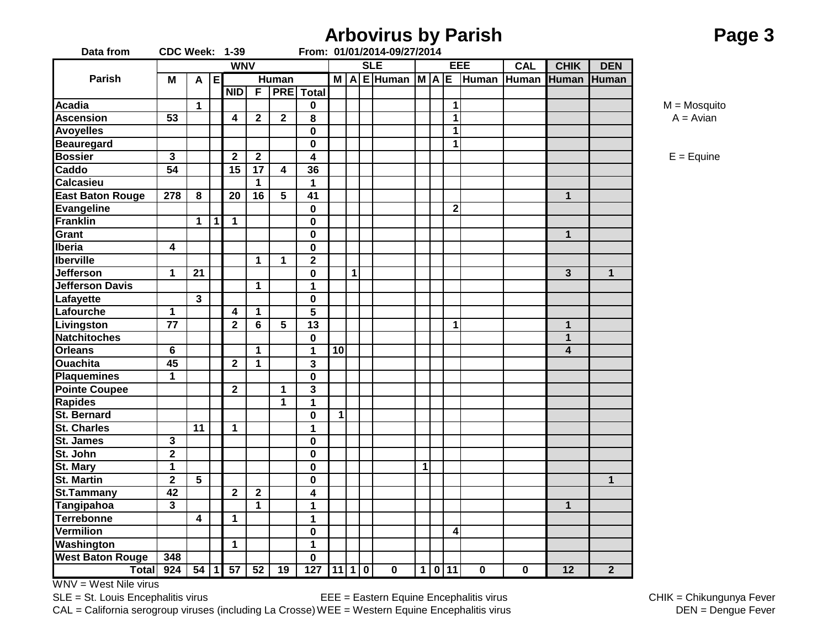|                         |                       |                |     |                         |                |                         |                         |    |              | <b>Arbovirus by Parish</b>            |   |              |             |             |                 |                | Page 3          |
|-------------------------|-----------------------|----------------|-----|-------------------------|----------------|-------------------------|-------------------------|----|--------------|---------------------------------------|---|--------------|-------------|-------------|-----------------|----------------|-----------------|
| Data from               | <b>CDC Week: 1-39</b> |                |     |                         |                |                         |                         |    |              | From: 01/01/2014-09/27/2014           |   |              |             |             |                 |                |                 |
|                         |                       |                |     | <b>WNV</b>              |                |                         |                         |    |              | <b>SLE</b>                            |   |              | EEE         | <b>CAL</b>  | <b>CHIK</b>     | <b>DEN</b>     |                 |
| Parish                  | Μ                     |                | A E |                         |                | <b>Human</b>            |                         |    |              | M   A   E   Human   M   A   E   Human |   |              |             |             | Human Human     | <b>Human</b>   |                 |
|                         |                       |                |     | <b>NID</b>              | $\overline{F}$ |                         | <b>PRE</b> Total        |    |              |                                       |   |              |             |             |                 |                |                 |
| <b>Acadia</b>           |                       | $\mathbf 1$    |     |                         |                |                         | 0                       |    |              |                                       |   | $\mathbf 1$  |             |             |                 |                | $M = M$ osquito |
| <b>Ascension</b>        | $\overline{53}$       |                |     | 4                       | $\overline{2}$ | $\mathbf{2}$            | 8                       |    |              |                                       |   | 1            |             |             |                 |                | $A = Avian$     |
| <b>Avoyelles</b>        |                       |                |     |                         |                |                         | 0                       |    |              |                                       |   | 1            |             |             |                 |                |                 |
| <b>Beauregard</b>       |                       |                |     |                         |                |                         | $\mathbf 0$             |    |              |                                       |   | 1            |             |             |                 |                |                 |
| <b>Bossier</b>          | $\mathbf{3}$          |                |     | $\mathbf{2}$            | $\overline{2}$ |                         | 4                       |    |              |                                       |   |              |             |             |                 |                | $E = Equine$    |
| Caddo                   | 54                    |                |     | 15                      | 17             | $\overline{\mathbf{4}}$ | 36                      |    |              |                                       |   |              |             |             |                 |                |                 |
| Calcasieu               |                       |                |     |                         | $\mathbf 1$    |                         | 1                       |    |              |                                       |   |              |             |             |                 |                |                 |
| <b>East Baton Rouge</b> | 278                   | 8              |     | 20                      | 16             | 5                       | 41                      |    |              |                                       |   |              |             |             | $\mathbf{1}$    |                |                 |
| <b>Evangeline</b>       |                       |                |     |                         |                |                         | 0                       |    |              |                                       |   | $\mathbf{2}$ |             |             |                 |                |                 |
| <b>Franklin</b>         |                       | $\mathbf 1$    | 1   | $\mathbf 1$             |                |                         | 0                       |    |              |                                       |   |              |             |             |                 |                |                 |
| Grant                   |                       |                |     |                         |                |                         | $\mathbf 0$             |    |              |                                       |   |              |             |             | $\mathbf{1}$    |                |                 |
| Iberia                  | 4                     |                |     |                         |                |                         | 0                       |    |              |                                       |   |              |             |             |                 |                |                 |
| <b>Iberville</b>        |                       |                |     |                         | $\mathbf 1$    | 1                       | $\overline{\mathbf{2}}$ |    |              |                                       |   |              |             |             |                 |                |                 |
| <b>Jefferson</b>        | 1                     | 21             |     |                         |                |                         | 0                       |    | $\mathbf{1}$ |                                       |   |              |             |             | 3               | $\mathbf{1}$   |                 |
| <b>Jefferson Davis</b>  |                       |                |     |                         | $\mathbf 1$    |                         | 1                       |    |              |                                       |   |              |             |             |                 |                |                 |
| Lafayette               |                       | 3              |     |                         |                |                         | 0                       |    |              |                                       |   |              |             |             |                 |                |                 |
| Lafourche               | 1                     |                |     | $\overline{\mathbf{4}}$ | $\mathbf 1$    |                         | 5                       |    |              |                                       |   |              |             |             |                 |                |                 |
| Livingston              | 77                    |                |     | $\mathbf{2}$            | 6              | 5                       | 13                      |    |              |                                       |   | 1            |             |             | $\mathbf 1$     |                |                 |
| <b>Natchitoches</b>     |                       |                |     |                         |                |                         | 0                       |    |              |                                       |   |              |             |             | $\mathbf{1}$    |                |                 |
| <b>Orleans</b>          | 6                     |                |     |                         | $\mathbf{1}$   |                         | 1                       | 10 |              |                                       |   |              |             |             | 4               |                |                 |
| <b>Ouachita</b>         | 45                    |                |     | $\mathbf{2}$            | $\mathbf{1}$   |                         | 3                       |    |              |                                       |   |              |             |             |                 |                |                 |
| <b>Plaquemines</b>      | 1                     |                |     |                         |                |                         | $\mathbf 0$             |    |              |                                       |   |              |             |             |                 |                |                 |
| <b>Pointe Coupee</b>    |                       |                |     | $\overline{2}$          |                | 1                       | 3                       |    |              |                                       |   |              |             |             |                 |                |                 |
| <b>Rapides</b>          |                       |                |     |                         |                | 1                       | 1                       |    |              |                                       |   |              |             |             |                 |                |                 |
| <b>St. Bernard</b>      |                       |                |     |                         |                |                         | 0                       | 1  |              |                                       |   |              |             |             |                 |                |                 |
| <b>St. Charles</b>      |                       | 11             |     | $\mathbf 1$             |                |                         | 1                       |    |              |                                       |   |              |             |             |                 |                |                 |
| <b>St. James</b>        | $\mathbf{3}$          |                |     |                         |                |                         | 0                       |    |              |                                       |   |              |             |             |                 |                |                 |
| St. John                | $\mathbf{2}$          |                |     |                         |                |                         | 0                       |    |              |                                       |   |              |             |             |                 |                |                 |
| St. Mary                | 1                     |                |     |                         |                |                         | 0                       |    |              |                                       | 1 |              |             |             |                 |                |                 |
| <b>St. Martin</b>       | $\mathbf 2$           | 5              |     |                         |                |                         | 0                       |    |              |                                       |   |              |             |             |                 | $\mathbf 1$    |                 |
| <b>St.Tammany</b>       | 42                    |                |     | $\overline{2}$          | $\overline{2}$ |                         | 4                       |    |              |                                       |   |              |             |             |                 |                |                 |
| <b>Tangipahoa</b>       | 3                     |                |     |                         | $\mathbf 1$    |                         | 1                       |    |              |                                       |   |              |             |             | $\mathbf{1}$    |                |                 |
| <b>Terrebonne</b>       |                       | $\overline{4}$ |     | $\mathbf 1$             |                |                         | 1                       |    |              |                                       |   |              |             |             |                 |                |                 |
| <b>Vermilion</b>        |                       |                |     |                         |                |                         | $\mathbf 0$             |    |              |                                       |   | 4            |             |             |                 |                |                 |
| Washington              |                       |                |     | $\overline{1}$          |                |                         | $\mathbf{1}$            |    |              |                                       |   |              |             |             |                 |                |                 |
| <b>West Baton Rouge</b> | 348                   |                |     |                         |                |                         | $\mathbf 0$             |    |              |                                       |   |              |             |             |                 |                |                 |
|                         | Total 924             |                |     | 54   1   57             | 52             | 19                      | $127$ 11 1 0            |    |              | $\overline{\mathbf{0}}$               |   | $1 0 11$     | $\mathbf 0$ | $\mathbf 0$ | $\overline{12}$ | $\overline{2}$ |                 |

CAL = California serogroup viruses (including La Crosse) WEE = Western Equine Encephalitis virus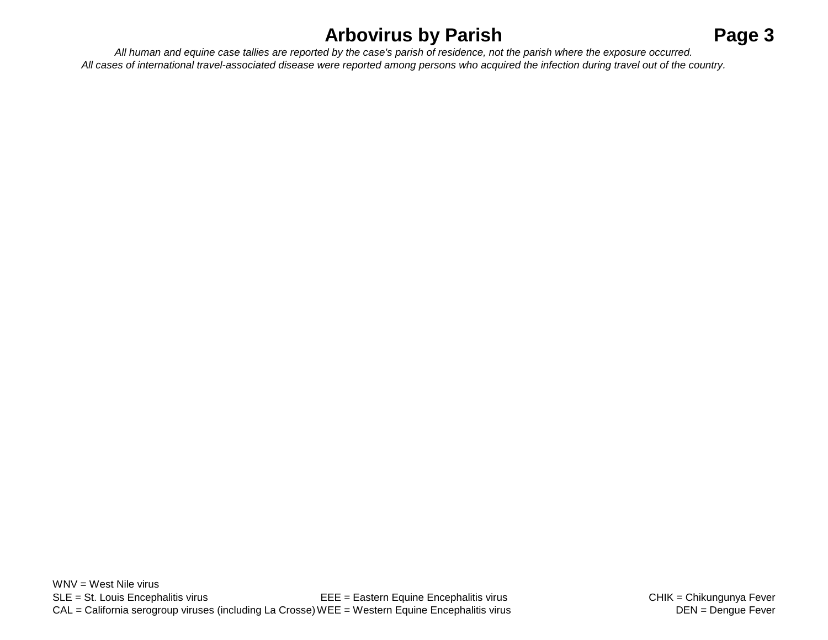## **Arbovirus by Parish Page 3**

*All cases of international travel-associated disease were reported among persons who acquired the infection during travel out of the country. All human and equine case tallies are reported by the case's parish of residence, not the parish where the exposure occurred.*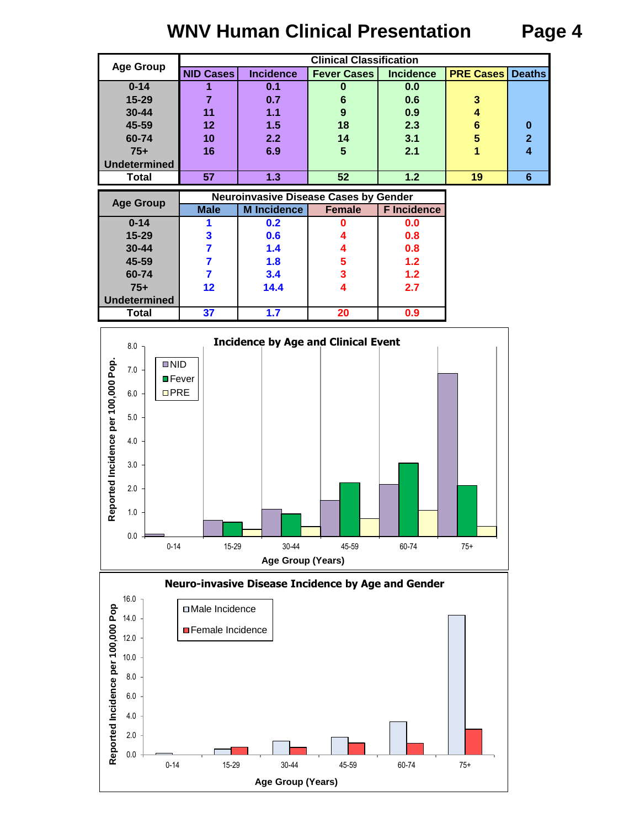### **WNV Human Clinical Presentation Page 4**

|                     |                  |                  | <b>Clinical Classification</b> |                  |                  |                |
|---------------------|------------------|------------------|--------------------------------|------------------|------------------|----------------|
| <b>Age Group</b>    | <b>NID Cases</b> | <b>Incidence</b> | <b>Fever Cases</b>             | <b>Incidence</b> | <b>PRE Cases</b> | <b>Deaths</b>  |
| $0 - 14$            |                  | 0.1              | u                              | 0.0              |                  |                |
| 15-29               |                  | 0.7              | 6                              | 0.6              | 3                |                |
| $30 - 44$           | 11               | 1.1              | 9                              | 0.9              |                  |                |
| 45-59               | 12               | 1.5              | 18                             | 2.3              | 6                | 0              |
| 60-74               | 10               | 2.2              | 14                             | 3.1              | 5                | $\overline{2}$ |
| $75+$               | 16               | 6.9              | 5                              | 2.1              |                  | 4              |
| <b>Undetermined</b> |                  |                  |                                |                  |                  |                |
| Total               | 57               | 1.3              | 52                             | 1.2              | 19               | 6              |

| <b>Age Group</b>    |                   | <b>Neuroinvasive Disease Cases by Gender</b> |               |                    |
|---------------------|-------------------|----------------------------------------------|---------------|--------------------|
|                     | <b>Male</b>       | <b>M</b> Incidence                           | <b>Female</b> | <b>F</b> Incidence |
| $0 - 14$            |                   | 0.2                                          |               | 0.0                |
| 15-29               |                   | 0.6                                          |               | 0.8                |
| 30-44               |                   | 1.4                                          |               | 0.8                |
| 45-59               |                   | 1.8                                          | 5             | 1.2                |
| 60-74               |                   | 3.4                                          | 3             | 1.2                |
| $75+$               | $12 \ \mathsf{ }$ | 14.4                                         |               | 2.7                |
| <b>Undetermined</b> |                   |                                              |               |                    |
| Total               | 37                | 1.7                                          | 20            | 0.9                |



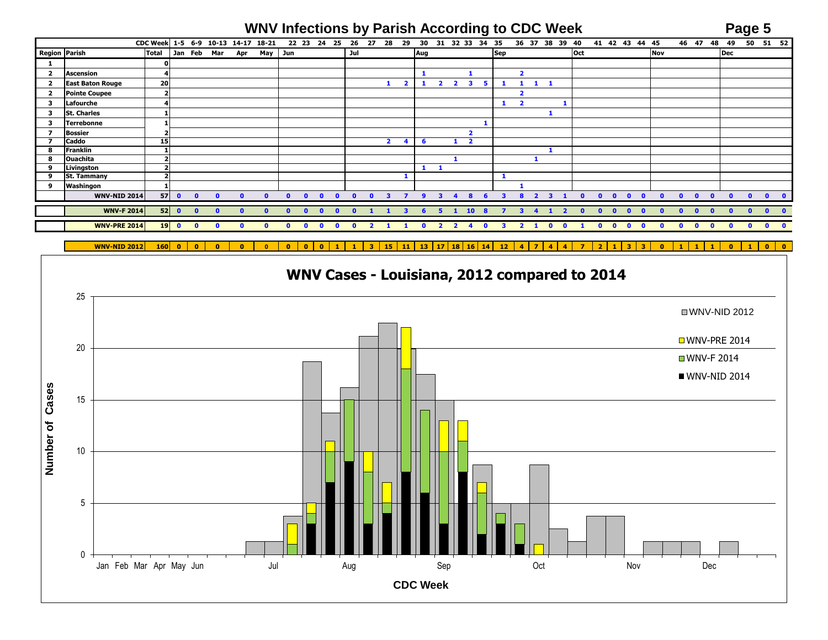# **WNV Infections by Parish According to CDC Week Page 5**

|                |                         | CDC Week 1-5 6-9 10-13 14-17 18-21 |           |              |              |             |         |              |              | 22 23 24     | 25 | 26  | 27 | 28                      | 29 | 30           | 31             | 32 33                   | 34                      | 35         |   | 36 37                            | 38  | 39       | 40  | 41           | 42           | 43<br>44     | 45           |     |              | 46 47        | 48           | 49           | 50           |           | $51$ $52$ |
|----------------|-------------------------|------------------------------------|-----------|--------------|--------------|-------------|---------|--------------|--------------|--------------|----|-----|----|-------------------------|----|--------------|----------------|-------------------------|-------------------------|------------|---|----------------------------------|-----|----------|-----|--------------|--------------|--------------|--------------|-----|--------------|--------------|--------------|--------------|--------------|-----------|-----------|
| Region Parish  |                         | <b>Total</b>                       |           | Jan Feb      | Mar          | Apr         | May Jun |              |              |              |    | Jul |    |                         |    | Aug          |                |                         |                         | <b>Sep</b> |   |                                  |     |          | Oct |              |              |              |              | Nov |              |              |              | Dec          |              |           |           |
| $\mathbf{1}$   |                         |                                    |           |              |              |             |         |              |              |              |    |     |    |                         |    |              |                |                         |                         |            |   |                                  |     |          |     |              |              |              |              |     |              |              |              |              |              |           |           |
| $\overline{2}$ | <b>Ascension</b>        | 4                                  |           |              |              |             |         |              |              |              |    |     |    |                         |    | -1           |                |                         |                         |            |   | $\overline{2}$                   |     |          |     |              |              |              |              |     |              |              |              |              |              |           |           |
| $\overline{2}$ | <b>East Baton Rouge</b> | 20                                 |           |              |              |             |         |              |              |              |    |     |    |                         | 2  | 1            | $\mathbf{2}$   | $\overline{\mathbf{2}}$ | 3                       | 5.         |   | $\mathbf{1}$<br>$\mathbf{1}$     | - 1 |          |     |              |              |              |              |     |              |              |              |              |              |           |           |
| $\overline{2}$ | <b>Pointe Coupee</b>    | $\overline{\mathbf{2}}$            |           |              |              |             |         |              |              |              |    |     |    |                         |    |              |                |                         |                         |            |   | $\overline{\mathbf{2}}$          |     |          |     |              |              |              |              |     |              |              |              |              |              |           |           |
| 3              | Lafourche               |                                    |           |              |              |             |         |              |              |              |    |     |    |                         |    |              |                |                         |                         |            | 1 | $\overline{\phantom{a}}$         |     |          |     |              |              |              |              |     |              |              |              |              |              |           |           |
| $\mathbf{3}$   | <b>St. Charles</b>      |                                    |           |              |              |             |         |              |              |              |    |     |    |                         |    |              |                |                         |                         |            |   |                                  |     |          |     |              |              |              |              |     |              |              |              |              |              |           |           |
| 3              | <b>Terrebonne</b>       |                                    |           |              |              |             |         |              |              |              |    |     |    |                         |    |              |                |                         |                         |            |   |                                  |     |          |     |              |              |              |              |     |              |              |              |              |              |           |           |
| $\mathbf{z}$   | <b>Bossier</b>          |                                    |           |              |              |             |         |              |              |              |    |     |    |                         |    |              |                |                         | $\overline{\mathbf{2}}$ |            |   |                                  |     |          |     |              |              |              |              |     |              |              |              |              |              |           |           |
| 7              | <b>Caddo</b>            | 15                                 |           |              |              |             |         |              |              |              |    |     |    | $\overline{\mathbf{2}}$ | 4  | 6            |                | $\mathbf{1}$            | $\overline{\mathbf{2}}$ |            |   |                                  |     |          |     |              |              |              |              |     |              |              |              |              |              |           |           |
| 8              | Franklin                |                                    |           |              |              |             |         |              |              |              |    |     |    |                         |    |              |                |                         |                         |            |   |                                  |     |          |     |              |              |              |              |     |              |              |              |              |              |           |           |
| 8              | <b>Ouachita</b>         | $\overline{\mathbf{2}}$            |           |              |              |             |         |              |              |              |    |     |    |                         |    |              |                |                         |                         |            |   |                                  |     |          |     |              |              |              |              |     |              |              |              |              |              |           |           |
| 9              | Livingston              |                                    |           |              |              |             |         |              |              |              |    |     |    |                         |    | 1            |                |                         |                         |            |   |                                  |     |          |     |              |              |              |              |     |              |              |              |              |              |           |           |
| 9              | <b>St. Tammany</b>      |                                    |           |              |              |             |         |              |              |              |    |     |    |                         |    |              |                |                         |                         |            |   |                                  |     |          |     |              |              |              |              |     |              |              |              |              |              |           |           |
| 9              | Washingon               |                                    |           |              |              |             |         |              |              |              |    |     |    |                         |    |              |                |                         |                         |            |   |                                  |     |          |     |              |              |              |              |     |              |              |              |              |              |           |           |
|                | <b>WNV-NID 2014</b>     | 57                                 | $\bullet$ | $\mathbf{0}$ | $\mathbf{r}$ |             |         | n            | $\mathbf{a}$ | $\sqrt{ }$   |    |     | n  |                         |    |              |                |                         |                         |            |   | ר                                |     |          |     |              | $\mathbf{a}$ |              |              |     |              | $\Omega$     |              | n            |              |           |           |
|                | <b>WNV-F 2014</b>       |                                    | $52$ 0    | $\bullet$    | $\Omega$     |             |         | n            | $\mathbf{a}$ |              |    |     |    |                         |    |              |                |                         | 10 <sup>1</sup>         |            |   |                                  |     |          |     |              | n            |              |              |     |              | $\mathbf{a}$ |              |              |              |           |           |
|                |                         |                                    |           |              |              |             |         |              |              |              |    |     |    |                         |    |              |                |                         |                         |            |   |                                  |     |          |     |              |              |              |              |     |              |              |              |              |              |           |           |
|                | <b>WNV-PRE 2014</b>     |                                    | $19$ 0    | $\bullet$    | $\mathbf{0}$ | $\mathbf 0$ |         | $\mathbf{a}$ | $\mathbf{a}$ | $\mathbf{a}$ | ∩  | n.  |    |                         |    | $\mathbf{0}$ | $\overline{2}$ | $\overline{2}$          | $\mathbf{a}$            |            | 3 | $\overline{2}$<br>$\blacksquare$ |     | $\Omega$ |     | $\mathbf{a}$ | $\mathbf{a}$ | $\mathbf{a}$ | $\mathbf{0}$ |     | $\mathbf{a}$ | $\mathbf{0}$ | $\mathbf{0}$ | $\mathbf{0}$ | $\mathbf{0}$ | $\bullet$ | - 0       |
|                |                         |                                    |           |              |              |             |         |              |              |              |    |     |    |                         |    |              |                |                         |                         |            |   |                                  |     |          |     |              |              |              |              |     |              |              |              |              |              |           |           |

**WNV-NID 2012 160 0 0 0 0 0 0 0 0 1 1 3 15 11 13 17 18 16 14 12 4 7 4 4 7 2 1 3 3 0 1 1 1 0 1 0 0**

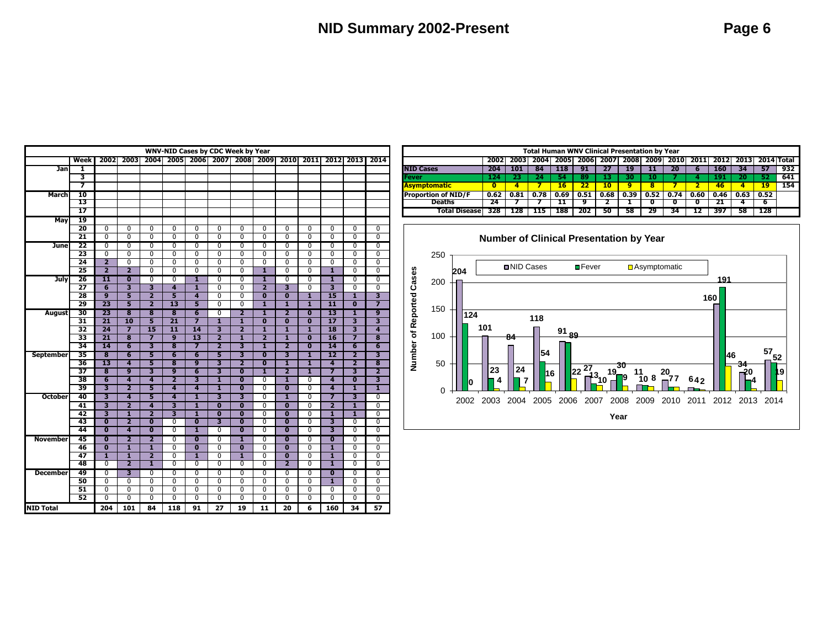| <b>WNV-NID Cases by CDC Week by Year</b><br>2005 2006 2007 2008 2009<br>Week<br>2002<br>2003<br>2004<br>2010<br>2011<br>2013<br>2014<br>2012<br><b>Jan</b><br>1<br>3<br>7<br>10<br><b>March</b><br>13<br>$\overline{17}$<br>19<br><b>May</b><br>20<br>$\overline{0}$<br>$\overline{0}$<br>$\overline{0}$<br>$\overline{0}$<br>$\overline{0}$<br>$\overline{0}$<br>$\overline{0}$<br>$\overline{0}$<br>$\overline{0}$<br>$\mathbf{0}$<br>$\overline{0}$<br>$\mathbf{0}$<br>$\overline{0}$<br>21<br>$\overline{0}$<br>$\overline{0}$<br>$\overline{0}$<br>$\overline{0}$<br>$\overline{0}$<br>$\overline{0}$<br>$\overline{0}$<br>$\overline{0}$<br>$\overline{0}$<br>$\overline{0}$<br>$\overline{0}$<br>$\overline{0}$<br>$\overline{0}$<br>22<br>$\overline{0}$<br>$\overline{0}$<br>$\overline{0}$<br>$\overline{0}$<br>$\overline{0}$<br>$\overline{0}$<br>$\overline{0}$<br>$\overline{0}$<br>$\overline{0}$<br>$\overline{0}$<br>$\overline{0}$<br>$\overline{0}$<br>$\overline{0}$<br><b>June</b><br>23<br>$\overline{0}$<br>$\overline{0}$<br>$\overline{0}$<br>0<br>$\overline{0}$<br>$\overline{0}$<br>$\overline{0}$<br>$\overline{0}$<br>$\overline{0}$<br>$\overline{0}$<br>$\overline{0}$<br>$\overline{0}$<br>$\overline{0}$<br>$\overline{\mathbf{2}}$<br>$\overline{0}$<br>$\overline{0}$<br>$\overline{0}$<br>$\overline{\mathfrak{o}}$<br>$\overline{0}$<br>$\overline{0}$<br>24<br>$\overline{0}$<br>$\overline{0}$<br>$\overline{0}$<br>$\overline{0}$<br>$\overline{0}$<br>$\overline{0}$<br>25<br>$\overline{\mathbf{2}}$<br>ī<br>ī<br>0<br>$\overline{0}$<br>$\overline{0}$<br>0<br>$\overline{0}$<br>0<br>0<br>$\overline{\mathbf{2}}$<br>$\overline{0}$<br>0<br>1<br>26<br>11<br>$\overline{\textbf{0}}$<br>$\overline{0}$<br>$\overline{0}$<br>ī<br>$\overline{0}$<br>ī<br>0<br>$\overline{0}$<br>$\overline{0}$<br>$\overline{0}$<br>$\overline{0}$<br><b>July</b><br>3<br>$\overline{\mathbf{3}}$<br>27<br>$\overline{\mathbf{6}}$<br>$\overline{\mathbf{3}}$<br>$\overline{\mathbf{4}}$<br>ī<br>$\overline{0}$<br>$\overline{\mathbf{2}}$<br>$\overline{\mathbf{3}}$<br>$\overline{0}$<br>$\overline{0}$<br>$\overline{0}$<br>$\overline{0}$<br>28<br>$\overline{9}$<br>5<br>$\overline{\mathbf{2}}$<br>5<br>$\overline{0}$<br>$\overline{0}$<br>$\overline{\textbf{0}}$<br>ī<br>$\overline{15}$<br>ī<br>3<br>$\overline{\mathbf{4}}$<br>$\overline{\mathbf{0}}$<br>29<br>23<br>5<br>$\overline{\mathbf{2}}$<br>$\overline{13}$<br>$\overline{\mathbf{5}}$<br>7<br>$\overline{0}$<br>$\overline{0}$<br>1<br>ī<br>ī<br>$\overline{\mathbf{11}}$<br>$\overline{\mathbf{0}}$<br>$\overline{\bf 8}$<br>$\overline{\mathbf{8}}$<br>$\overline{\mathbf{6}}$<br>0<br>2<br>9<br>30<br>23<br>$\overline{\mathbf{8}}$<br>ī<br>$\overline{\mathbf{2}}$<br>$\overline{\textbf{0}}$<br>$\overline{13}$<br>ī<br><b>August</b><br>$\overline{21}$<br>$\overline{10}$<br>$\overline{21}$<br>1<br>ī<br>$\overline{17}$<br>31<br>$\overline{\mathbf{0}}$<br>$\overline{\textbf{0}}$<br>$\overline{\textbf{0}}$<br>32<br>$\overline{\mathbf{z}}$<br>$\overline{15}$<br>$\overline{\mathbf{11}}$<br>$\overline{14}$<br>$\overline{\mathbf{3}}$<br>$\overline{\mathbf{1}}$<br>$\overline{\mathbf{3}}$<br>$\overline{24}$<br>$\overline{\mathbf{2}}$<br>1<br>1<br>$\overline{18}$<br>$\overline{\bf{4}}$ |                 |                                                      |                              |                                                    |                                |                              |                                                      |                                       |                                  |                                                    |                           |                              |                         |                                             |
|-----------------------------------------------------------------------------------------------------------------------------------------------------------------------------------------------------------------------------------------------------------------------------------------------------------------------------------------------------------------------------------------------------------------------------------------------------------------------------------------------------------------------------------------------------------------------------------------------------------------------------------------------------------------------------------------------------------------------------------------------------------------------------------------------------------------------------------------------------------------------------------------------------------------------------------------------------------------------------------------------------------------------------------------------------------------------------------------------------------------------------------------------------------------------------------------------------------------------------------------------------------------------------------------------------------------------------------------------------------------------------------------------------------------------------------------------------------------------------------------------------------------------------------------------------------------------------------------------------------------------------------------------------------------------------------------------------------------------------------------------------------------------------------------------------------------------------------------------------------------------------------------------------------------------------------------------------------------------------------------------------------------------------------------------------------------------------------------------------------------------------------------------------------------------------------------------------------------------------------------------------------------------------------------------------------------------------------------------------------------------------------------------------------------------------------------------------------------------------------------------------------------------------------------------------------------------------------------------------------------------------------------------------------------------------------------------------------------------------------------------------------------------------------------------------------------------------------------------------------------------------------------------------------------------------------------------------------------------------------------------------------------------------------------------------------------------------------------------------------------------------------------------------------------------------------------------------------------------------------------------------------------------------------------------------------------|-----------------|------------------------------------------------------|------------------------------|----------------------------------------------------|--------------------------------|------------------------------|------------------------------------------------------|---------------------------------------|----------------------------------|----------------------------------------------------|---------------------------|------------------------------|-------------------------|---------------------------------------------|
|                                                                                                                                                                                                                                                                                                                                                                                                                                                                                                                                                                                                                                                                                                                                                                                                                                                                                                                                                                                                                                                                                                                                                                                                                                                                                                                                                                                                                                                                                                                                                                                                                                                                                                                                                                                                                                                                                                                                                                                                                                                                                                                                                                                                                                                                                                                                                                                                                                                                                                                                                                                                                                                                                                                                                                                                                                                                                                                                                                                                                                                                                                                                                                                                                                                                                                                 |                 |                                                      |                              |                                                    |                                |                              |                                                      |                                       |                                  |                                                    |                           |                              |                         |                                             |
|                                                                                                                                                                                                                                                                                                                                                                                                                                                                                                                                                                                                                                                                                                                                                                                                                                                                                                                                                                                                                                                                                                                                                                                                                                                                                                                                                                                                                                                                                                                                                                                                                                                                                                                                                                                                                                                                                                                                                                                                                                                                                                                                                                                                                                                                                                                                                                                                                                                                                                                                                                                                                                                                                                                                                                                                                                                                                                                                                                                                                                                                                                                                                                                                                                                                                                                 |                 |                                                      |                              |                                                    |                                |                              |                                                      |                                       |                                  |                                                    |                           |                              |                         |                                             |
|                                                                                                                                                                                                                                                                                                                                                                                                                                                                                                                                                                                                                                                                                                                                                                                                                                                                                                                                                                                                                                                                                                                                                                                                                                                                                                                                                                                                                                                                                                                                                                                                                                                                                                                                                                                                                                                                                                                                                                                                                                                                                                                                                                                                                                                                                                                                                                                                                                                                                                                                                                                                                                                                                                                                                                                                                                                                                                                                                                                                                                                                                                                                                                                                                                                                                                                 |                 |                                                      |                              |                                                    |                                |                              |                                                      |                                       |                                  |                                                    |                           |                              |                         |                                             |
|                                                                                                                                                                                                                                                                                                                                                                                                                                                                                                                                                                                                                                                                                                                                                                                                                                                                                                                                                                                                                                                                                                                                                                                                                                                                                                                                                                                                                                                                                                                                                                                                                                                                                                                                                                                                                                                                                                                                                                                                                                                                                                                                                                                                                                                                                                                                                                                                                                                                                                                                                                                                                                                                                                                                                                                                                                                                                                                                                                                                                                                                                                                                                                                                                                                                                                                 |                 |                                                      |                              |                                                    |                                |                              |                                                      |                                       |                                  |                                                    |                           |                              |                         |                                             |
|                                                                                                                                                                                                                                                                                                                                                                                                                                                                                                                                                                                                                                                                                                                                                                                                                                                                                                                                                                                                                                                                                                                                                                                                                                                                                                                                                                                                                                                                                                                                                                                                                                                                                                                                                                                                                                                                                                                                                                                                                                                                                                                                                                                                                                                                                                                                                                                                                                                                                                                                                                                                                                                                                                                                                                                                                                                                                                                                                                                                                                                                                                                                                                                                                                                                                                                 |                 |                                                      |                              |                                                    |                                |                              |                                                      |                                       |                                  |                                                    |                           |                              |                         |                                             |
|                                                                                                                                                                                                                                                                                                                                                                                                                                                                                                                                                                                                                                                                                                                                                                                                                                                                                                                                                                                                                                                                                                                                                                                                                                                                                                                                                                                                                                                                                                                                                                                                                                                                                                                                                                                                                                                                                                                                                                                                                                                                                                                                                                                                                                                                                                                                                                                                                                                                                                                                                                                                                                                                                                                                                                                                                                                                                                                                                                                                                                                                                                                                                                                                                                                                                                                 |                 |                                                      |                              |                                                    |                                |                              |                                                      |                                       |                                  |                                                    |                           |                              |                         |                                             |
|                                                                                                                                                                                                                                                                                                                                                                                                                                                                                                                                                                                                                                                                                                                                                                                                                                                                                                                                                                                                                                                                                                                                                                                                                                                                                                                                                                                                                                                                                                                                                                                                                                                                                                                                                                                                                                                                                                                                                                                                                                                                                                                                                                                                                                                                                                                                                                                                                                                                                                                                                                                                                                                                                                                                                                                                                                                                                                                                                                                                                                                                                                                                                                                                                                                                                                                 |                 |                                                      |                              |                                                    |                                |                              |                                                      |                                       |                                  |                                                    |                           |                              |                         |                                             |
|                                                                                                                                                                                                                                                                                                                                                                                                                                                                                                                                                                                                                                                                                                                                                                                                                                                                                                                                                                                                                                                                                                                                                                                                                                                                                                                                                                                                                                                                                                                                                                                                                                                                                                                                                                                                                                                                                                                                                                                                                                                                                                                                                                                                                                                                                                                                                                                                                                                                                                                                                                                                                                                                                                                                                                                                                                                                                                                                                                                                                                                                                                                                                                                                                                                                                                                 |                 |                                                      |                              |                                                    |                                |                              |                                                      |                                       |                                  |                                                    |                           |                              |                         |                                             |
|                                                                                                                                                                                                                                                                                                                                                                                                                                                                                                                                                                                                                                                                                                                                                                                                                                                                                                                                                                                                                                                                                                                                                                                                                                                                                                                                                                                                                                                                                                                                                                                                                                                                                                                                                                                                                                                                                                                                                                                                                                                                                                                                                                                                                                                                                                                                                                                                                                                                                                                                                                                                                                                                                                                                                                                                                                                                                                                                                                                                                                                                                                                                                                                                                                                                                                                 |                 |                                                      |                              |                                                    |                                |                              |                                                      |                                       |                                  |                                                    |                           |                              |                         |                                             |
|                                                                                                                                                                                                                                                                                                                                                                                                                                                                                                                                                                                                                                                                                                                                                                                                                                                                                                                                                                                                                                                                                                                                                                                                                                                                                                                                                                                                                                                                                                                                                                                                                                                                                                                                                                                                                                                                                                                                                                                                                                                                                                                                                                                                                                                                                                                                                                                                                                                                                                                                                                                                                                                                                                                                                                                                                                                                                                                                                                                                                                                                                                                                                                                                                                                                                                                 |                 |                                                      |                              |                                                    |                                |                              |                                                      |                                       |                                  |                                                    |                           |                              |                         |                                             |
|                                                                                                                                                                                                                                                                                                                                                                                                                                                                                                                                                                                                                                                                                                                                                                                                                                                                                                                                                                                                                                                                                                                                                                                                                                                                                                                                                                                                                                                                                                                                                                                                                                                                                                                                                                                                                                                                                                                                                                                                                                                                                                                                                                                                                                                                                                                                                                                                                                                                                                                                                                                                                                                                                                                                                                                                                                                                                                                                                                                                                                                                                                                                                                                                                                                                                                                 |                 |                                                      |                              |                                                    |                                |                              |                                                      |                                       |                                  |                                                    |                           |                              |                         |                                             |
|                                                                                                                                                                                                                                                                                                                                                                                                                                                                                                                                                                                                                                                                                                                                                                                                                                                                                                                                                                                                                                                                                                                                                                                                                                                                                                                                                                                                                                                                                                                                                                                                                                                                                                                                                                                                                                                                                                                                                                                                                                                                                                                                                                                                                                                                                                                                                                                                                                                                                                                                                                                                                                                                                                                                                                                                                                                                                                                                                                                                                                                                                                                                                                                                                                                                                                                 |                 |                                                      |                              |                                                    |                                |                              |                                                      |                                       |                                  |                                                    |                           |                              |                         |                                             |
|                                                                                                                                                                                                                                                                                                                                                                                                                                                                                                                                                                                                                                                                                                                                                                                                                                                                                                                                                                                                                                                                                                                                                                                                                                                                                                                                                                                                                                                                                                                                                                                                                                                                                                                                                                                                                                                                                                                                                                                                                                                                                                                                                                                                                                                                                                                                                                                                                                                                                                                                                                                                                                                                                                                                                                                                                                                                                                                                                                                                                                                                                                                                                                                                                                                                                                                 |                 |                                                      |                              |                                                    |                                |                              |                                                      |                                       |                                  |                                                    |                           |                              |                         |                                             |
|                                                                                                                                                                                                                                                                                                                                                                                                                                                                                                                                                                                                                                                                                                                                                                                                                                                                                                                                                                                                                                                                                                                                                                                                                                                                                                                                                                                                                                                                                                                                                                                                                                                                                                                                                                                                                                                                                                                                                                                                                                                                                                                                                                                                                                                                                                                                                                                                                                                                                                                                                                                                                                                                                                                                                                                                                                                                                                                                                                                                                                                                                                                                                                                                                                                                                                                 |                 |                                                      |                              |                                                    |                                |                              |                                                      |                                       |                                  |                                                    |                           |                              |                         |                                             |
|                                                                                                                                                                                                                                                                                                                                                                                                                                                                                                                                                                                                                                                                                                                                                                                                                                                                                                                                                                                                                                                                                                                                                                                                                                                                                                                                                                                                                                                                                                                                                                                                                                                                                                                                                                                                                                                                                                                                                                                                                                                                                                                                                                                                                                                                                                                                                                                                                                                                                                                                                                                                                                                                                                                                                                                                                                                                                                                                                                                                                                                                                                                                                                                                                                                                                                                 |                 |                                                      |                              |                                                    |                                |                              |                                                      |                                       |                                  |                                                    |                           |                              |                         |                                             |
|                                                                                                                                                                                                                                                                                                                                                                                                                                                                                                                                                                                                                                                                                                                                                                                                                                                                                                                                                                                                                                                                                                                                                                                                                                                                                                                                                                                                                                                                                                                                                                                                                                                                                                                                                                                                                                                                                                                                                                                                                                                                                                                                                                                                                                                                                                                                                                                                                                                                                                                                                                                                                                                                                                                                                                                                                                                                                                                                                                                                                                                                                                                                                                                                                                                                                                                 |                 |                                                      |                              |                                                    |                                |                              |                                                      |                                       |                                  |                                                    |                           |                              |                         |                                             |
|                                                                                                                                                                                                                                                                                                                                                                                                                                                                                                                                                                                                                                                                                                                                                                                                                                                                                                                                                                                                                                                                                                                                                                                                                                                                                                                                                                                                                                                                                                                                                                                                                                                                                                                                                                                                                                                                                                                                                                                                                                                                                                                                                                                                                                                                                                                                                                                                                                                                                                                                                                                                                                                                                                                                                                                                                                                                                                                                                                                                                                                                                                                                                                                                                                                                                                                 |                 |                                                      |                              |                                                    |                                |                              |                                                      |                                       |                                  |                                                    |                           |                              |                         |                                             |
|                                                                                                                                                                                                                                                                                                                                                                                                                                                                                                                                                                                                                                                                                                                                                                                                                                                                                                                                                                                                                                                                                                                                                                                                                                                                                                                                                                                                                                                                                                                                                                                                                                                                                                                                                                                                                                                                                                                                                                                                                                                                                                                                                                                                                                                                                                                                                                                                                                                                                                                                                                                                                                                                                                                                                                                                                                                                                                                                                                                                                                                                                                                                                                                                                                                                                                                 |                 |                                                      |                              |                                                    |                                |                              |                                                      |                                       |                                  |                                                    |                           |                              |                         |                                             |
|                                                                                                                                                                                                                                                                                                                                                                                                                                                                                                                                                                                                                                                                                                                                                                                                                                                                                                                                                                                                                                                                                                                                                                                                                                                                                                                                                                                                                                                                                                                                                                                                                                                                                                                                                                                                                                                                                                                                                                                                                                                                                                                                                                                                                                                                                                                                                                                                                                                                                                                                                                                                                                                                                                                                                                                                                                                                                                                                                                                                                                                                                                                                                                                                                                                                                                                 |                 |                                                      |                              |                                                    |                                |                              |                                                      |                                       |                                  |                                                    |                           |                              |                         |                                             |
|                                                                                                                                                                                                                                                                                                                                                                                                                                                                                                                                                                                                                                                                                                                                                                                                                                                                                                                                                                                                                                                                                                                                                                                                                                                                                                                                                                                                                                                                                                                                                                                                                                                                                                                                                                                                                                                                                                                                                                                                                                                                                                                                                                                                                                                                                                                                                                                                                                                                                                                                                                                                                                                                                                                                                                                                                                                                                                                                                                                                                                                                                                                                                                                                                                                                                                                 |                 |                                                      |                              |                                                    |                                |                              |                                                      |                                       |                                  |                                                    |                           |                              |                         |                                             |
|                                                                                                                                                                                                                                                                                                                                                                                                                                                                                                                                                                                                                                                                                                                                                                                                                                                                                                                                                                                                                                                                                                                                                                                                                                                                                                                                                                                                                                                                                                                                                                                                                                                                                                                                                                                                                                                                                                                                                                                                                                                                                                                                                                                                                                                                                                                                                                                                                                                                                                                                                                                                                                                                                                                                                                                                                                                                                                                                                                                                                                                                                                                                                                                                                                                                                                                 |                 |                                                      |                              |                                                    |                                |                              |                                                      |                                       |                                  |                                                    |                           |                              |                         |                                             |
|                                                                                                                                                                                                                                                                                                                                                                                                                                                                                                                                                                                                                                                                                                                                                                                                                                                                                                                                                                                                                                                                                                                                                                                                                                                                                                                                                                                                                                                                                                                                                                                                                                                                                                                                                                                                                                                                                                                                                                                                                                                                                                                                                                                                                                                                                                                                                                                                                                                                                                                                                                                                                                                                                                                                                                                                                                                                                                                                                                                                                                                                                                                                                                                                                                                                                                                 | 33              | $\overline{21}$                                      | $\overline{\mathbf{8}}$      | 7                                                  | $\overline{9}$                 | $\overline{13}$              | $\overline{\mathbf{z}}$                              | $\overline{\mathbf{1}}$               | $\overline{\mathbf{2}}$          | ī                                                  | $\overline{\mathbf{0}}$   | 16                           | 7                       | $\overline{\mathbf{8}}$                     |
|                                                                                                                                                                                                                                                                                                                                                                                                                                                                                                                                                                                                                                                                                                                                                                                                                                                                                                                                                                                                                                                                                                                                                                                                                                                                                                                                                                                                                                                                                                                                                                                                                                                                                                                                                                                                                                                                                                                                                                                                                                                                                                                                                                                                                                                                                                                                                                                                                                                                                                                                                                                                                                                                                                                                                                                                                                                                                                                                                                                                                                                                                                                                                                                                                                                                                                                 | $\overline{34}$ | $\overline{14}$                                      | $\overline{\mathbf{6}}$      | 3                                                  | $\overline{\bf 8}$             | 7                            | $\overline{\mathbf{z}}$                              | $\overline{\mathbf{3}}$               | ī                                | $\overline{\mathbf{z}}$                            | $\overline{\mathfrak{o}}$ | $\overline{14}$              | $\overline{\mathbf{6}}$ | 6                                           |
| <b>September</b>                                                                                                                                                                                                                                                                                                                                                                                                                                                                                                                                                                                                                                                                                                                                                                                                                                                                                                                                                                                                                                                                                                                                                                                                                                                                                                                                                                                                                                                                                                                                                                                                                                                                                                                                                                                                                                                                                                                                                                                                                                                                                                                                                                                                                                                                                                                                                                                                                                                                                                                                                                                                                                                                                                                                                                                                                                                                                                                                                                                                                                                                                                                                                                                                                                                                                                | 35              | $\overline{\bf 8}$                                   | $\overline{\mathbf{6}}$      | 5                                                  | $\overline{\mathbf{6}}$        | $\overline{\mathbf{6}}$      | 5                                                    | 3                                     | Ō                                | 3                                                  | ī                         | $\overline{12}$              | 2                       | 3                                           |
|                                                                                                                                                                                                                                                                                                                                                                                                                                                                                                                                                                                                                                                                                                                                                                                                                                                                                                                                                                                                                                                                                                                                                                                                                                                                                                                                                                                                                                                                                                                                                                                                                                                                                                                                                                                                                                                                                                                                                                                                                                                                                                                                                                                                                                                                                                                                                                                                                                                                                                                                                                                                                                                                                                                                                                                                                                                                                                                                                                                                                                                                                                                                                                                                                                                                                                                 | 36              | $\overline{13}$                                      | $\overline{4}$               | $\overline{\mathbf{5}}$                            | $\overline{\bf 8}$             | $\overline{9}$               | $\overline{\mathbf{3}}$                              | $\overline{\mathbf{2}}$               | $\overline{\mathbf{0}}$          | ī                                                  | ī                         | $\overline{\mathbf{4}}$      | $\overline{\mathbf{2}}$ | $\overline{\bf 8}$                          |
|                                                                                                                                                                                                                                                                                                                                                                                                                                                                                                                                                                                                                                                                                                                                                                                                                                                                                                                                                                                                                                                                                                                                                                                                                                                                                                                                                                                                                                                                                                                                                                                                                                                                                                                                                                                                                                                                                                                                                                                                                                                                                                                                                                                                                                                                                                                                                                                                                                                                                                                                                                                                                                                                                                                                                                                                                                                                                                                                                                                                                                                                                                                                                                                                                                                                                                                 | 37              | $\overline{\bf 8}$                                   | $\overline{9}$               | 3                                                  | $\overline{9}$                 | $\overline{6}$               | $\overline{\mathbf{3}}$                              | $\overline{\mathbf{0}}$               | ī                                | $\overline{\mathbf{2}}$                            | ī                         | $\overline{\mathbf{z}}$      | 3                       | $\overline{2}$                              |
|                                                                                                                                                                                                                                                                                                                                                                                                                                                                                                                                                                                                                                                                                                                                                                                                                                                                                                                                                                                                                                                                                                                                                                                                                                                                                                                                                                                                                                                                                                                                                                                                                                                                                                                                                                                                                                                                                                                                                                                                                                                                                                                                                                                                                                                                                                                                                                                                                                                                                                                                                                                                                                                                                                                                                                                                                                                                                                                                                                                                                                                                                                                                                                                                                                                                                                                 | 38              | $\overline{\mathbf{6}}$                              | $\overline{4}$               | 4                                                  | $\overline{2}$                 | 3                            | ī                                                    | $\bf{0}$                              | 0                                | ī                                                  | 0                         | 4                            | $\overline{\mathbf{0}}$ | $\overline{\mathbf{3}}$                     |
|                                                                                                                                                                                                                                                                                                                                                                                                                                                                                                                                                                                                                                                                                                                                                                                                                                                                                                                                                                                                                                                                                                                                                                                                                                                                                                                                                                                                                                                                                                                                                                                                                                                                                                                                                                                                                                                                                                                                                                                                                                                                                                                                                                                                                                                                                                                                                                                                                                                                                                                                                                                                                                                                                                                                                                                                                                                                                                                                                                                                                                                                                                                                                                                                                                                                                                                 | 39              | $\overline{\mathbf{3}}$                              | $\overline{2}$               | 5                                                  | 4                              | $\overline{4}$               | ī                                                    | $\overline{\mathbf{0}}$               | $\overline{0}$                   | $\overline{\textbf{0}}$                            | $\overline{0}$            | $\overline{\bf{4}}$          | 1                       | ī                                           |
| <b>October</b>                                                                                                                                                                                                                                                                                                                                                                                                                                                                                                                                                                                                                                                                                                                                                                                                                                                                                                                                                                                                                                                                                                                                                                                                                                                                                                                                                                                                                                                                                                                                                                                                                                                                                                                                                                                                                                                                                                                                                                                                                                                                                                                                                                                                                                                                                                                                                                                                                                                                                                                                                                                                                                                                                                                                                                                                                                                                                                                                                                                                                                                                                                                                                                                                                                                                                                  | 40              | $\overline{\mathbf{3}}$                              | 4                            | $\overline{\mathbf{5}}$                            | 4                              | ī                            | 3                                                    | $\overline{\mathbf{3}}$               | $\overline{0}$                   | ī                                                  | $\overline{0}$            | 7                            | 3                       | $\overline{0}$                              |
|                                                                                                                                                                                                                                                                                                                                                                                                                                                                                                                                                                                                                                                                                                                                                                                                                                                                                                                                                                                                                                                                                                                                                                                                                                                                                                                                                                                                                                                                                                                                                                                                                                                                                                                                                                                                                                                                                                                                                                                                                                                                                                                                                                                                                                                                                                                                                                                                                                                                                                                                                                                                                                                                                                                                                                                                                                                                                                                                                                                                                                                                                                                                                                                                                                                                                                                 | 41              | 3                                                    | $\overline{\mathbf{2}}$      | 4                                                  | 3                              | ī                            | $\overline{\mathbf{0}}$                              | $\overline{\mathbf{0}}$               | $\overline{0}$                   | $\overline{\textbf{0}}$                            | $\overline{0}$            | $\overline{\mathbf{2}}$      | ī                       | $\overline{0}$                              |
|                                                                                                                                                                                                                                                                                                                                                                                                                                                                                                                                                                                                                                                                                                                                                                                                                                                                                                                                                                                                                                                                                                                                                                                                                                                                                                                                                                                                                                                                                                                                                                                                                                                                                                                                                                                                                                                                                                                                                                                                                                                                                                                                                                                                                                                                                                                                                                                                                                                                                                                                                                                                                                                                                                                                                                                                                                                                                                                                                                                                                                                                                                                                                                                                                                                                                                                 | 42              | $\overline{\mathbf{3}}$                              | $\overline{\mathbf{1}}$      | 2                                                  | $\overline{\mathbf{3}}$        | $\mathbf{1}$                 | $\overline{\mathbf{0}}$                              | $\overline{\mathbf{0}}$               | $\overline{0}$                   | $\overline{\mathbf{0}}$                            | 0                         | ī                            | 1                       | $\overline{0}$                              |
|                                                                                                                                                                                                                                                                                                                                                                                                                                                                                                                                                                                                                                                                                                                                                                                                                                                                                                                                                                                                                                                                                                                                                                                                                                                                                                                                                                                                                                                                                                                                                                                                                                                                                                                                                                                                                                                                                                                                                                                                                                                                                                                                                                                                                                                                                                                                                                                                                                                                                                                                                                                                                                                                                                                                                                                                                                                                                                                                                                                                                                                                                                                                                                                                                                                                                                                 | 43<br>44        | $\overline{\textbf{0}}$<br>$\overline{\mathfrak{o}}$ | $\overline{\mathbf{2}}$<br>4 | $\overline{\mathbf{0}}$<br>$\overline{\mathbf{0}}$ | 0<br>$\overline{\mathfrak{o}}$ | $\overline{\mathbf{0}}$<br>ī | $\overline{\mathbf{3}}$<br>$\overline{\mathfrak{o}}$ | $\bf{0}$<br>$\overline{\mathfrak{o}}$ | $\overline{0}$<br>$\overline{0}$ | $\overline{\mathbf{0}}$<br>$\overline{\mathbf{0}}$ | 0<br>$\overline{0}$       | $\overline{\mathbf{3}}$<br>3 | 0<br>$\overline{0}$     | $\overline{0}$<br>$\overline{\mathfrak{o}}$ |
|                                                                                                                                                                                                                                                                                                                                                                                                                                                                                                                                                                                                                                                                                                                                                                                                                                                                                                                                                                                                                                                                                                                                                                                                                                                                                                                                                                                                                                                                                                                                                                                                                                                                                                                                                                                                                                                                                                                                                                                                                                                                                                                                                                                                                                                                                                                                                                                                                                                                                                                                                                                                                                                                                                                                                                                                                                                                                                                                                                                                                                                                                                                                                                                                                                                                                                                 |                 |                                                      |                              |                                                    |                                |                              |                                                      |                                       |                                  |                                                    |                           |                              |                         |                                             |
| <b>November</b>                                                                                                                                                                                                                                                                                                                                                                                                                                                                                                                                                                                                                                                                                                                                                                                                                                                                                                                                                                                                                                                                                                                                                                                                                                                                                                                                                                                                                                                                                                                                                                                                                                                                                                                                                                                                                                                                                                                                                                                                                                                                                                                                                                                                                                                                                                                                                                                                                                                                                                                                                                                                                                                                                                                                                                                                                                                                                                                                                                                                                                                                                                                                                                                                                                                                                                 | 45              | Ō                                                    | $\overline{\mathbf{2}}$      | $\overline{\mathbf{2}}$                            | $\overline{0}$                 | $\overline{\mathbf{0}}$      | $\overline{0}$                                       | 1                                     | $\overline{0}$                   | $\overline{\textbf{0}}$                            | $\overline{0}$            | $\overline{\mathbf{0}}$      | $\overline{0}$          | $\overline{0}$                              |
|                                                                                                                                                                                                                                                                                                                                                                                                                                                                                                                                                                                                                                                                                                                                                                                                                                                                                                                                                                                                                                                                                                                                                                                                                                                                                                                                                                                                                                                                                                                                                                                                                                                                                                                                                                                                                                                                                                                                                                                                                                                                                                                                                                                                                                                                                                                                                                                                                                                                                                                                                                                                                                                                                                                                                                                                                                                                                                                                                                                                                                                                                                                                                                                                                                                                                                                 | 46              | $\overline{\mathbf{0}}$                              | ī                            | ī                                                  | $\overline{0}$                 | $\overline{\mathbf{0}}$      | $\overline{0}$                                       | $\overline{\mathbf{0}}$               | $\overline{0}$                   | $\overline{\mathbf{0}}$                            | $\overline{0}$            | ī                            | $\overline{0}$          | 0                                           |
|                                                                                                                                                                                                                                                                                                                                                                                                                                                                                                                                                                                                                                                                                                                                                                                                                                                                                                                                                                                                                                                                                                                                                                                                                                                                                                                                                                                                                                                                                                                                                                                                                                                                                                                                                                                                                                                                                                                                                                                                                                                                                                                                                                                                                                                                                                                                                                                                                                                                                                                                                                                                                                                                                                                                                                                                                                                                                                                                                                                                                                                                                                                                                                                                                                                                                                                 | 47              | 1                                                    | ī                            | $\overline{\mathbf{2}}$                            | 0                              | 1<br>$\overline{0}$          | 0                                                    | 1                                     | $\overline{0}$<br>$\overline{0}$ | $\overline{\mathbf{0}}$                            | 0                         | 1                            | $\overline{0}$          | 0                                           |
|                                                                                                                                                                                                                                                                                                                                                                                                                                                                                                                                                                                                                                                                                                                                                                                                                                                                                                                                                                                                                                                                                                                                                                                                                                                                                                                                                                                                                                                                                                                                                                                                                                                                                                                                                                                                                                                                                                                                                                                                                                                                                                                                                                                                                                                                                                                                                                                                                                                                                                                                                                                                                                                                                                                                                                                                                                                                                                                                                                                                                                                                                                                                                                                                                                                                                                                 | 48              | $\overline{0}$                                       | $\overline{\mathbf{2}}$      | ī                                                  | $\overline{0}$                 |                              | $\overline{0}$                                       | $\overline{0}$                        |                                  | $\overline{\mathbf{2}}$                            | $\overline{0}$            | ī                            | $\overline{0}$          | $\overline{0}$                              |
| <b>December</b>                                                                                                                                                                                                                                                                                                                                                                                                                                                                                                                                                                                                                                                                                                                                                                                                                                                                                                                                                                                                                                                                                                                                                                                                                                                                                                                                                                                                                                                                                                                                                                                                                                                                                                                                                                                                                                                                                                                                                                                                                                                                                                                                                                                                                                                                                                                                                                                                                                                                                                                                                                                                                                                                                                                                                                                                                                                                                                                                                                                                                                                                                                                                                                                                                                                                                                 | 49              | $\overline{0}$                                       |                              | $\overline{0}$                                     | $\overline{0}$                 | $\overline{0}$               | $\overline{0}$                                       | $\overline{0}$                        | $\overline{0}$                   | $\overline{0}$                                     | $\overline{0}$            | $\overline{\mathbf{0}}$      | $\overline{0}$          | $\overline{0}$                              |
|                                                                                                                                                                                                                                                                                                                                                                                                                                                                                                                                                                                                                                                                                                                                                                                                                                                                                                                                                                                                                                                                                                                                                                                                                                                                                                                                                                                                                                                                                                                                                                                                                                                                                                                                                                                                                                                                                                                                                                                                                                                                                                                                                                                                                                                                                                                                                                                                                                                                                                                                                                                                                                                                                                                                                                                                                                                                                                                                                                                                                                                                                                                                                                                                                                                                                                                 | 50              | $\overline{0}$                                       | $\overline{0}$               | $\overline{0}$                                     | $\overline{0}$                 | $\overline{0}$               | $\overline{0}$                                       | $\overline{0}$                        | $\overline{0}$                   | $\overline{0}$                                     | $\overline{0}$            | T                            | $\overline{0}$          | $\overline{0}$                              |
|                                                                                                                                                                                                                                                                                                                                                                                                                                                                                                                                                                                                                                                                                                                                                                                                                                                                                                                                                                                                                                                                                                                                                                                                                                                                                                                                                                                                                                                                                                                                                                                                                                                                                                                                                                                                                                                                                                                                                                                                                                                                                                                                                                                                                                                                                                                                                                                                                                                                                                                                                                                                                                                                                                                                                                                                                                                                                                                                                                                                                                                                                                                                                                                                                                                                                                                 | 51              | 0                                                    | $\overline{0}$               | $\overline{0}$                                     | $\overline{0}$                 | 0                            | 0                                                    | $\overline{0}$                        | $\overline{0}$                   | 0                                                  | $\overline{0}$            | $\overline{0}$               | $\overline{0}$          | $\overline{0}$                              |
|                                                                                                                                                                                                                                                                                                                                                                                                                                                                                                                                                                                                                                                                                                                                                                                                                                                                                                                                                                                                                                                                                                                                                                                                                                                                                                                                                                                                                                                                                                                                                                                                                                                                                                                                                                                                                                                                                                                                                                                                                                                                                                                                                                                                                                                                                                                                                                                                                                                                                                                                                                                                                                                                                                                                                                                                                                                                                                                                                                                                                                                                                                                                                                                                                                                                                                                 | 52              | 0                                                    | $\overline{0}$               | $\overline{0}$                                     | $\overline{0}$                 | $\overline{0}$               | $\overline{0}$                                       | $\overline{0}$                        | $\overline{0}$                   | $\overline{0}$                                     | $\overline{0}$            | $\overline{0}$               | $\overline{0}$          | $\overline{0}$                              |

**101 84 118 91 27 19 11 20 6 160 34 57**

**NID Total**

|        |                                                                       |  |  |  | <b>WNV-NID Cases by CDC Week by Year</b> |  |  |  |                             |     |            |      |     | <b>Total Human WNV Clinical Presentation by Year</b>                                                                                     |                 |           |     |     |     |      |    |           |     |
|--------|-----------------------------------------------------------------------|--|--|--|------------------------------------------|--|--|--|-----------------------------|-----|------------|------|-----|------------------------------------------------------------------------------------------------------------------------------------------|-----------------|-----------|-----|-----|-----|------|----|-----------|-----|
|        | Week 2002 2003 2004 2005 2006 2007 2008 2009 2010 2011 2012 2013 2014 |  |  |  |                                          |  |  |  |                             |     |            |      |     | 2002 2003 2004 2005 2006 2007 2008 2009 2010 2011 2012 2013 2014 Total                                                                   |                 |           |     |     |     |      |    |           |     |
| Jan    |                                                                       |  |  |  |                                          |  |  |  | <b>NID Cases</b>            | 204 | <b>101</b> | - 84 | 118 | 91                                                                                                                                       | 27              | <b>19</b> |     | 20  |     | 160  |    | 57        | 932 |
|        |                                                                       |  |  |  |                                          |  |  |  | l Fever                     |     |            |      |     |                                                                                                                                          |                 |           |     |     |     |      |    |           | 641 |
|        |                                                                       |  |  |  |                                          |  |  |  | <b>Asymptomatic</b>         |     |            |      | 16. | -22 -                                                                                                                                    | 10 <sup>1</sup> |           |     |     |     |      |    | <b>19</b> | 154 |
| Marchl | 10                                                                    |  |  |  |                                          |  |  |  | <b>IProportion of NID/F</b> |     |            |      |     | $\mid 0.62 \mid 0.81 \mid 0.78 \mid 0.69 \mid 0.51 \mid 0.68 \mid 0.39 \mid 0.52 \mid 0.74 \mid 0.60 \mid 0.46 \mid 0.63 \mid 0.52 \mid$ |                 |           |     |     |     |      |    |           |     |
|        |                                                                       |  |  |  |                                          |  |  |  | <b>Deaths</b>               | -24 |            |      |     |                                                                                                                                          |                 |           |     |     |     |      |    |           |     |
|        | -17                                                                   |  |  |  |                                          |  |  |  | Total Diseasel              | 328 | 128        | 115  | 188 | 202                                                                                                                                      | 50              | 58        | 29. | 34. | -12 | -397 | 58 | 128       |     |
|        |                                                                       |  |  |  |                                          |  |  |  |                             |     |            |      |     |                                                                                                                                          |                 |           |     |     |     |      |    |           |     |

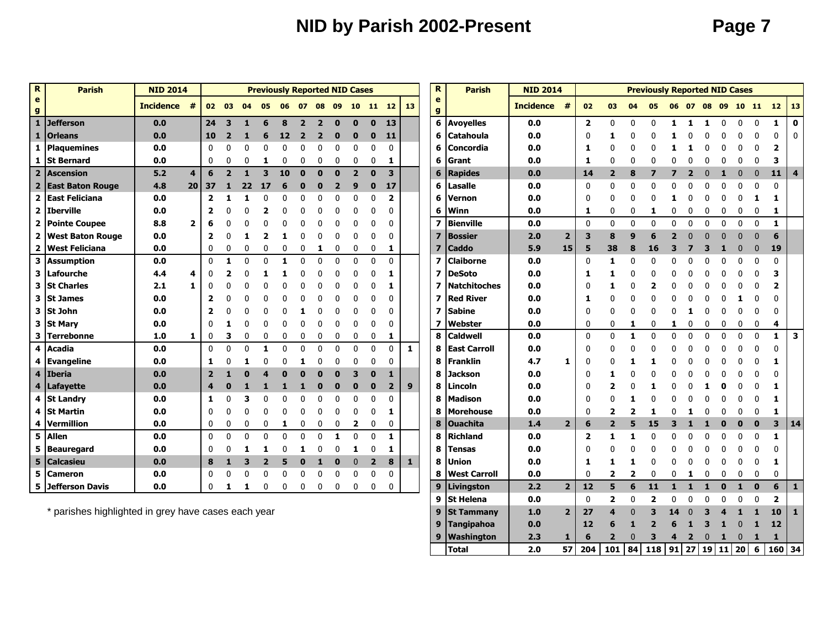## **NID by Parish 2002-Present Page 7**

 **Tangipahoa 0.0 12 6 1 2 6 1 3 1** 0 **1 12 Washington 2.3 1 6 2** 0 **3 4 2** 0 **1** 0 **1 1**

**Total 2.0 57 204 101 84 118 91 27 19 11 20 6 160 34**

| $\mathbf R$                     | <b>Parish</b>           | <b>NID 2014</b>  |                 |                         |                |                  | <b>Previously Reported NID Cases</b> |              |                |                |          |                |                |                         |              | R                        | <b>Parish</b>       | <b>NID 2014</b>  |                |                |                          |                          | <b>Previously Reported NID Cases</b> |          |              |          |          |              |              |                 |                         |
|---------------------------------|-------------------------|------------------|-----------------|-------------------------|----------------|------------------|--------------------------------------|--------------|----------------|----------------|----------|----------------|----------------|-------------------------|--------------|--------------------------|---------------------|------------------|----------------|----------------|--------------------------|--------------------------|--------------------------------------|----------|--------------|----------|----------|--------------|--------------|-----------------|-------------------------|
| $\mathbf e$<br>$\boldsymbol{g}$ |                         | <b>Incidence</b> | #               |                         | 02 03          | 04               | 05                                   |              |                | 06 07 08 09    |          | 10             |                | 11 12                   | <b>13</b>    | e<br>g                   |                     | <b>Incidence</b> | #              | 02             | 03                       | 04                       | 05                                   |          | 06 07        |          |          | 08 09 10 11  |              | 12 <sup>7</sup> | <b>13</b>               |
|                                 | 1 Jefferson             | 0.0              |                 | 24                      | 3              |                  | 6                                    | 8            | $\overline{2}$ | $\overline{2}$ | $\bf{0}$ | ŋ              | $\mathbf{0}$   | 13                      |              | 6                        | <b>Avoyelles</b>    | 0.0              |                | $\overline{2}$ | $\Omega$                 | $\mathbf{0}$             | 0                                    |          |              |          |          | $\mathbf{0}$ | $\mathbf{0}$ | 1               | $\mathbf 0$             |
| $\mathbf{1}$                    | <b>Orleans</b>          | 0.0              |                 | 10                      | $\overline{2}$ |                  | 6                                    | 12           | $\overline{2}$ | 2              | Ω        | O              | 0              | 11                      |              | 6                        | <b>Catahoula</b>    | 0.0              |                | $\mathbf 0$    | 1                        | $\mathbf{0}$             | 0                                    |          |              |          |          | 0            | $\mathbf{0}$ | 0               | $\Omega$                |
|                                 | 1 Plaquemines           | 0.0              |                 | $\mathbf{0}$            |                | ſ                | U                                    |              |                |                | 0        |                | 0              | 0                       |              | 6                        | Concordia           | 0.0              |                | 1              | 0                        | 0                        | ŋ                                    |          |              |          |          | 0            | 0            | 2               |                         |
| 1                               | <b>St Bernard</b>       | 0.0              |                 | $\mathbf 0$             | O              | $\Omega$         | 1                                    |              |                |                | 0        | 0              | 0              | 1                       |              | 6                        | lGrant              | 0.0              |                | 1              | $\Omega$                 | $\mathbf{0}$             | O                                    |          |              |          |          | 0            | $\Omega$     | 3               |                         |
| $\overline{2}$                  | <b>Ascension</b>        | 5.2              | 4               | 6                       | $\overline{2}$ | $\mathbf{1}$     | 3                                    | 10           | $\Omega$       |                | $\bf{0}$ | $\overline{2}$ | $\mathbf{0}$   | $\overline{\mathbf{3}}$ |              | 6                        | <b>Rapides</b>      | 0.0              |                | 14             | $\overline{2}$           | 8                        |                                      |          |              |          |          | $\bf{0}$     | $\mathbf 0$  | 11              | $\overline{4}$          |
|                                 | 2 East Baton Rouge      | 4.8              | 20 <sub>1</sub> | 37                      |                | 22               | 17                                   |              |                |                | 2        | 9              | $\bf{0}$       | 17                      |              | 6                        | <b>Lasalle</b>      | 0.0              |                | 0              | $\Omega$                 | 0                        | 0                                    |          |              |          |          | 0            | $\Omega$     | 0               |                         |
|                                 | 2 East Feliciana        | 0.0              |                 | $\overline{\mathbf{2}}$ |                |                  | U                                    |              |                |                | ი        |                | ŋ              | $\overline{\mathbf{2}}$ |              | 6                        | Vernon              | 0.0              |                | 0              | $\Omega$                 | $\Omega$                 | O                                    |          |              |          |          | 0            | 1            | 1               |                         |
|                                 | 2 Iberville             | 0.0              |                 | $\overline{\mathbf{z}}$ |                |                  | 2                                    |              |                |                |          |                |                | $\mathbf{0}$            |              | 6                        | Winn                | 0.0              |                | 1              | $\mathbf{0}$             | $\mathbf 0$              | 1                                    | ŋ        |              |          |          | 0            | $\mathbf 0$  | 1               |                         |
| $\overline{2}$                  | <b>Pointe Coupee</b>    | 8.8              | $\overline{2}$  | 6                       |                |                  |                                      |              |                |                |          |                |                | $\mathbf{0}$            |              | $\overline{\mathbf{z}}$  | <b>Bienville</b>    | 0.0              |                | 0              | $\mathbf{0}$             | 0                        | $\mathbf{0}$                         | ŋ        | n            | $\Omega$ | n        | $\Omega$     | 0            | 1               |                         |
| $\overline{2}$                  | <b>West Baton Rouge</b> | 0.0              |                 | $\overline{\mathbf{2}}$ |                |                  | 2                                    |              |                |                |          |                |                | $\Omega$                |              | 7                        | <b>Bossier</b>      | 2.0              | $\overline{2}$ | 3              | 8                        | 9                        | 6                                    |          |              |          |          | $\Omega$     | $\Omega$     | 6               |                         |
| $\overline{2}$                  | <b>West Feliciana</b>   | 0.0              |                 | 0                       | 0              | 0                | 0                                    | 0            | 0              |                | 0        | 0              | 0              | 1                       |              | $\overline{7}$           | <b>Caddo</b>        | 5.9              | 15             | 5              | 38                       | 8                        | 16                                   | 3        |              | В        |          | 0            | $\bf{0}$     | 19              |                         |
|                                 | 3 Assumption            | 0.0              |                 | $\mathbf{0}$            |                | ſ                | U                                    |              |                |                | በ        | O              | $\Omega$       | $\mathbf 0$             |              | $\overline{\mathbf{z}}$  | <b>Claiborne</b>    | 0.0              |                | $\mathbf 0$    | 1                        | 0                        | 0                                    | ŋ        |              |          |          | 0            | $\Omega$     | 0               |                         |
| 3                               | Lafourche               | 4.4              | 4               | 0                       |                |                  |                                      |              |                |                | n        |                | ŋ              | 1                       |              | $\overline{\phantom{a}}$ | <b>DeSoto</b>       | 0.0              |                | 1              | 1.                       | $\Omega$                 | O                                    | ŋ        |              |          |          | O            | 0            | 3               |                         |
| 3                               | <b>St Charles</b>       | 2.1              | $\mathbf{1}$    | 0                       |                |                  |                                      |              |                |                | Ω        |                | 0              | 1                       |              | 7                        | <b>Natchitoches</b> | 0.0              |                | 0              | 1.                       | $\mathbf{0}$             | 2                                    |          |              |          |          | ŋ            | $\Omega$     | $\mathbf{z}$    |                         |
| 3                               | <b>St James</b>         | 0.0              |                 | 2                       |                |                  |                                      |              |                |                |          |                |                | $\Omega$                |              | 7                        | <b>Red River</b>    | 0.0              |                | 1              | $\Omega$                 | $\Omega$                 | O                                    |          |              |          |          |              | <sup>0</sup> | 0               |                         |
| $\mathbf{3}$                    | <b>St John</b>          | 0.0              |                 | 2                       |                |                  |                                      |              |                |                |          |                |                | $\Omega$                |              | $\overline{\mathbf{z}}$  | lSabine             | 0.0              |                | $\Omega$       | $\Omega$                 | $\Omega$                 | 0                                    |          |              |          |          |              | <sup>0</sup> | 0               |                         |
|                                 | 3 St Mary               | 0.0              |                 | 0                       |                |                  | 0                                    |              |                |                | 0        |                | 0              | 0                       |              | $\overline{\mathbf{z}}$  | Webster             | 0.0              |                | 0              | $\mathbf{0}$             | 1                        | $\mathbf 0$                          | 1        | $\mathbf{0}$ | 0        | 0        | 0            | $\mathbf 0$  | 4               |                         |
| 3                               | <b>Terrebonne</b>       | 1.0              | 1.              | 0                       | 3              | $\boldsymbol{0}$ | 0                                    |              | <sup>0</sup>   | 0              | 0        | 0              | 0              | 1                       |              | 8                        | <b>Caldwell</b>     | 0.0              |                | 0              | $\Omega$                 | 1                        | 0                                    | $\Omega$ | n            | 0        | $\Omega$ | $\mathbf{0}$ | 0            | 1               | $\overline{\mathbf{3}}$ |
| $\overline{\mathbf{4}}$         | <b>Acadia</b>           | 0.0              |                 | $\mathbf{0}$            | $\Omega$       | $\Omega$         | 1                                    | n            | n              | ŋ              | O        | $\Omega$       | $\Omega$       | $\mathbf{0}$            | $\mathbf{1}$ | 8                        | <b>East Carroll</b> | 0.0              |                | 0              |                          | $\Omega$                 | ŋ                                    |          |              |          |          | ŋ            | $\Omega$     | 0               |                         |
| 4                               | Evangeline              | 0.0              |                 | 1                       |                |                  | U                                    |              |                |                |          |                | 0              | 0                       |              | 8                        | Franklin            | 4.7              | 1              | 0              | $\Omega$                 | 1                        |                                      |          |              |          |          |              | $\Omega$     | 1               |                         |
| $\overline{\mathbf{4}}$         | Iberia                  | 0.0              |                 | $\overline{2}$          |                |                  |                                      |              |                |                | Ω        |                | 0              | 1                       |              | 8                        | Jackson             | 0.0              |                | $\mathbf{0}$   | 1                        | $\mathbf{0}$             | 0                                    |          |              |          |          |              |              | 0               |                         |
|                                 | 4   Lafayette           | 0.0              |                 | $\boldsymbol{4}$        |                |                  |                                      |              | 1              |                | 0        | 0              | 0              | $\overline{2}$          | 9            | 8                        | Lincoln             | 0.0              |                | $\mathbf{0}$   | 2                        | $\Omega$                 |                                      |          |              |          |          |              | $\Omega$     |                 |                         |
|                                 | 4 St Landry             | 0.0              |                 | 1                       | ſ              | 3                | 0                                    |              |                |                | Ω        | 0              | $\Omega$       | 0                       |              | 8                        | <b>Madison</b>      | 0.0              |                | $\mathbf{0}$   | $\Omega$                 | 1                        | 0                                    |          |              |          |          | ŋ            | $\Omega$     | 1               |                         |
| 4                               | <b>St Martin</b>        | 0.0              |                 | $\mathbf{0}$            | ſ              | $\Omega$         | 0                                    |              | n              |                | 0        | O              | 0              | 1                       |              | 8                        | <b>Morehouse</b>    | 0.0              |                | 0              | 2                        | $\overline{\phantom{a}}$ | 1                                    |          |              |          |          | n            | $\Omega$     | 1               |                         |
| 4                               | Vermillion              | 0.0              |                 | $\mathbf 0$             | 0              | $\overline{0}$   | 0                                    | 1            | $\mathbf{0}$   | 0              | 0        | $\overline{2}$ | 0              | $\mathbf 0$             |              | 8                        | <b>Ouachita</b>     | 1.4              | $\overline{2}$ | 6              | $\overline{\phantom{a}}$ | 5                        | 15                                   |          |              |          |          | 0            | $\bf{0}$     | 3               | 14                      |
| $\overline{\mathbf{5}}$         | <b>Allen</b>            | 0.0              |                 | $\mathbf 0$             | $\Omega$       | $\Omega$         | 0                                    | $\Omega$     | $\Omega$       | $\Omega$       | 1        | $\mathbf{0}$   | $\mathbf{0}$   | 1                       |              | 8                        | <b>Richland</b>     | 0.0              |                | $\overline{2}$ | 1                        | 1                        | $\Omega$                             |          |              |          |          | O            | $\mathbf 0$  | 1               |                         |
|                                 | 5 Beauregard            | 0.0              |                 | $\mathbf{0}$            |                |                  |                                      |              |                |                |          |                | 0              | 1                       |              | 8                        | <b>Tensas</b>       | 0.0              |                | 0              | <sup>0</sup>             | $\Omega$                 | 0                                    |          |              |          |          | 0            | 0            | 0               |                         |
|                                 | 5 Calcasieu             | 0.0              |                 | 8                       |                | в                | $\overline{2}$                       |              | n              |                | 0        | $\Omega$       | $\overline{2}$ | 8                       | $\mathbf{1}$ | 8                        | Union               | 0.0              |                | 1              | 1                        | 1                        | O                                    |          |              |          |          | 0            | 0            | 1               |                         |
| 5                               | <b>Cameron</b>          | 0.0              |                 | $\mathbf 0$             | $\Omega$       | $\sqrt{ }$       | 0                                    |              |                | 0              | 0        | 0              | 0              | 0                       |              | 8                        | <b>West Carroll</b> | 0.0              |                | $\mathbf 0$    | $\overline{\mathbf{2}}$  | $\overline{\mathbf{2}}$  | $\mathbf{0}$                         | 0        |              | 0        |          | 0            | 0            | 0               |                         |
|                                 | 5 Jefferson Davis       | 0.0              |                 | 0                       | 1              | 1                | 0                                    | $\mathbf{0}$ | $\Omega$       | $\mathbf{0}$   | 0        | 0              | 0              | $\mathbf{0}$            |              | 9                        | Livingston          | 2.2              | $\overline{2}$ | 12             | 5                        | 6                        | 11                                   | s.       |              | 1        | $\Omega$ | 1            | $\mathbf{0}$ | 6               | $\mathbf{1}$            |
|                                 |                         |                  |                 |                         |                |                  |                                      |              |                |                |          |                |                |                         |              |                          | 9 St Helena         | 0.0              |                | $\mathbf{0}$   | $\overline{\mathbf{2}}$  | $\Omega$                 | $\overline{2}$                       | ŋ        | O            | 0        | O        | 0            | $\mathbf{0}$ | $\overline{2}$  |                         |
|                                 |                         |                  |                 |                         |                |                  |                                      |              |                |                |          |                |                |                         |              |                          |                     |                  |                |                |                          |                          |                                      |          |              |          |          |              |              |                 |                         |

\* parishes highlighted in grey have cases each year **9 St Tammany 1.0 2 27 4** 0 **3 14** 0 **3 4 1 1 10 1**